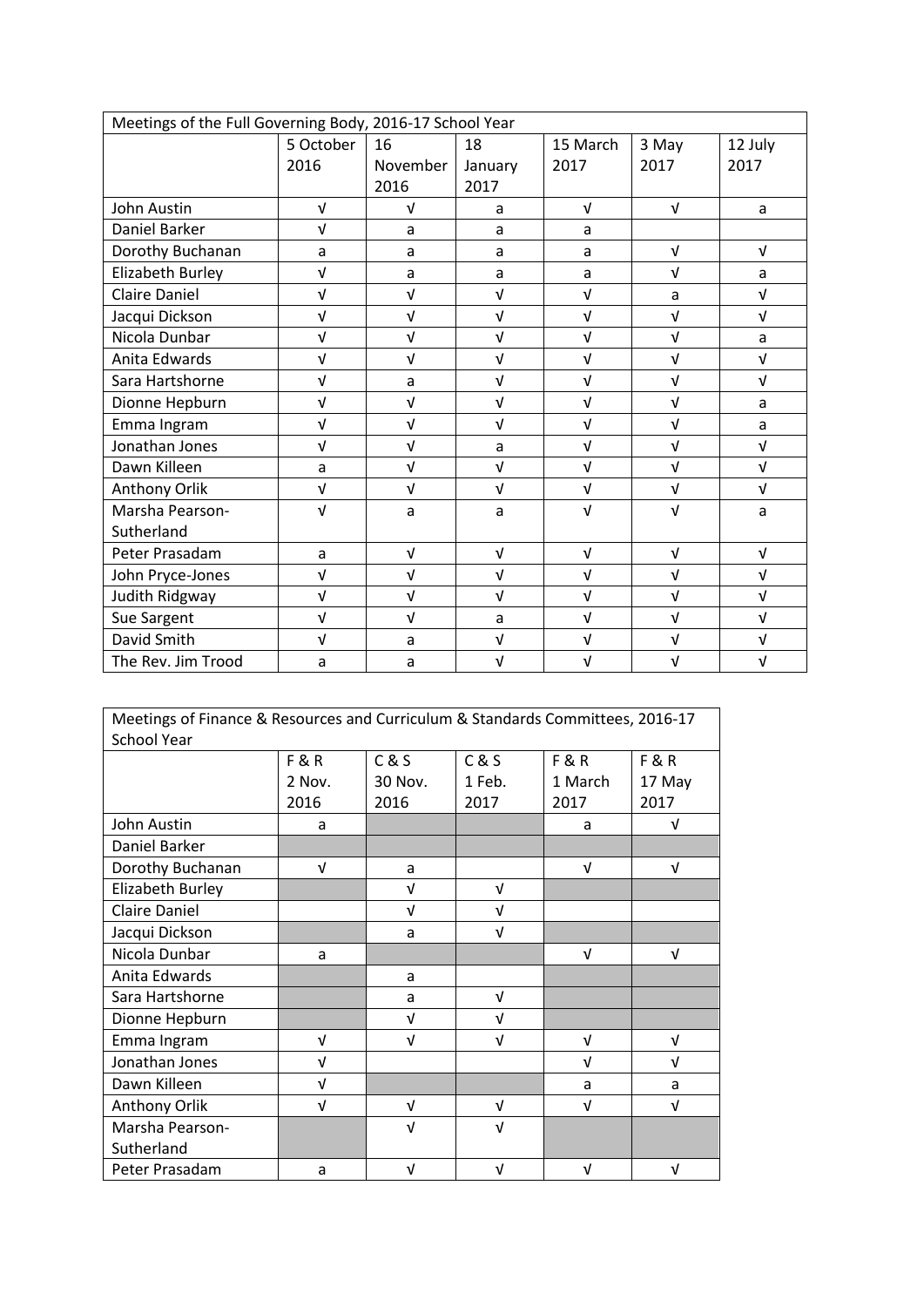| Meetings of the Full Governing Body, 2016-17 School Year |            |            |            |            |            |            |  |
|----------------------------------------------------------|------------|------------|------------|------------|------------|------------|--|
|                                                          | 5 October  | 16         | 18         | 15 March   | 3 May      | 12 July    |  |
|                                                          | 2016       | November   | January    | 2017       | 2017       | 2017       |  |
|                                                          |            | 2016       | 2017       |            |            |            |  |
| John Austin                                              | $\sqrt{ }$ | $\sqrt{ }$ | a          | $\sqrt{ }$ | $\sqrt{ }$ | a          |  |
| Daniel Barker                                            | $\sqrt{ }$ | a          | a          | a          |            |            |  |
| Dorothy Buchanan                                         | a          | a          | a          | a          | $\sqrt{ }$ | $\sqrt{ }$ |  |
| Elizabeth Burley                                         | $\sqrt{ }$ | a          | a          | a          | $\sqrt{ }$ | a          |  |
| <b>Claire Daniel</b>                                     | $\sqrt{ }$ | $\sqrt{ }$ | $\sqrt{ }$ | $\sqrt{ }$ | a          | $\sqrt{ }$ |  |
| Jacqui Dickson                                           | $\sqrt{ }$ | $\sqrt{ }$ | $\sqrt{ }$ | $\sqrt{ }$ | $\sqrt{ }$ | $\sqrt{ }$ |  |
| Nicola Dunbar                                            | $\sqrt{ }$ | $\sqrt{ }$ | $\sqrt{ }$ | $\sqrt{ }$ | $\sqrt{ }$ | a          |  |
| Anita Edwards                                            | $\sqrt{ }$ | $\sqrt{ }$ | $\sqrt{ }$ | $\sqrt{ }$ | $\sqrt{ }$ | $\sqrt{ }$ |  |
| Sara Hartshorne                                          | $\sqrt{ }$ | a          | $\sqrt{ }$ | $\sqrt{ }$ | $\sqrt{ }$ | $\sqrt{ }$ |  |
| Dionne Hepburn                                           | $\sqrt{ }$ | $\sqrt{ }$ | $\sqrt{ }$ | $\sqrt{ }$ | $\sqrt{ }$ | a          |  |
| Emma Ingram                                              | $\sqrt{ }$ | $\sqrt{ }$ | $\sqrt{ }$ | $\sqrt{ }$ | $\sqrt{ }$ | a          |  |
| Jonathan Jones                                           | $\sqrt{ }$ | $\sqrt{ }$ | a          | $\sqrt{ }$ | $\sqrt{ }$ | $\sqrt{ }$ |  |
| Dawn Killeen                                             | a          | $\sqrt{ }$ | $\sqrt{ }$ | $\sqrt{ }$ | $\sqrt{ }$ | $\sqrt{ }$ |  |
| Anthony Orlik                                            | $\sqrt{ }$ | $\sqrt{ }$ | $\sqrt{ }$ | $\sqrt{ }$ | $\sqrt{ }$ | $\sqrt{ }$ |  |
| Marsha Pearson-                                          | $\sqrt{ }$ | a          | a          | $\sqrt{ }$ | $\sqrt{ }$ | a          |  |
| Sutherland                                               |            |            |            |            |            |            |  |
| Peter Prasadam                                           | a          | $\sqrt{ }$ | $\sqrt{ }$ | $\sqrt{ }$ | $\sqrt{ }$ | $\sqrt{ }$ |  |
| John Pryce-Jones                                         | $\sqrt{ }$ | $\sqrt{ }$ | $\sqrt{ }$ | $\sqrt{ }$ | $\sqrt{ }$ | $\sqrt{ }$ |  |
| Judith Ridgway                                           | $\sqrt{ }$ | $\sqrt{ }$ | $\sqrt{ }$ | $\sqrt{ }$ | $\sqrt{ }$ | $\sqrt{ }$ |  |
| Sue Sargent                                              | $\sqrt{ }$ | $\sqrt{ }$ | a          | $\sqrt{ }$ | $\sqrt{ }$ | $\sqrt{ }$ |  |
| David Smith                                              | $\sqrt{ }$ | a          | $\sqrt{ }$ | $\sqrt{ }$ | $\sqrt{ }$ | $\sqrt{ }$ |  |
| The Rev. Jim Trood                                       | a          | a          | $\sqrt{ }$ | $\sqrt{ }$ | $\sqrt{ }$ | $\sqrt{ }$ |  |

| Meetings of Finance & Resources and Curriculum & Standards Committees, 2016-17 |                |            |            |                |                |  |
|--------------------------------------------------------------------------------|----------------|------------|------------|----------------|----------------|--|
| <b>School Year</b>                                                             |                |            |            |                |                |  |
|                                                                                | <b>F&amp;R</b> | C & S      | C & S      | <b>F&amp;R</b> | <b>F&amp;R</b> |  |
|                                                                                | 2 Nov.         | 30 Nov.    | 1 Feb.     | 1 March        | 17 May         |  |
|                                                                                | 2016           | 2016       | 2017       | 2017           | 2017           |  |
| John Austin                                                                    | a              |            |            | a              | V              |  |
| Daniel Barker                                                                  |                |            |            |                |                |  |
| Dorothy Buchanan                                                               | V              | a          |            | $\sqrt{ }$     | V              |  |
| Elizabeth Burley                                                               |                | $\sqrt{ }$ | V          |                |                |  |
| Claire Daniel                                                                  |                | V          | V          |                |                |  |
| Jacqui Dickson                                                                 |                | a          | V          |                |                |  |
| Nicola Dunbar                                                                  | a              |            |            | $\sqrt{ }$     | V              |  |
| Anita Edwards                                                                  |                | a          |            |                |                |  |
| Sara Hartshorne                                                                |                | a          | V          |                |                |  |
| Dionne Hepburn                                                                 |                | V          | V          |                |                |  |
| Emma Ingram                                                                    | V              | $\sqrt{ }$ | V          | $\sqrt{ }$     | V              |  |
| Jonathan Jones                                                                 | $\sqrt{ }$     |            |            | $\sqrt{ }$     | V              |  |
| Dawn Killeen                                                                   | V              |            |            | a              | a              |  |
| Anthony Orlik                                                                  | $\sqrt{ }$     | $\sqrt{ }$ | V          | $\sqrt{ }$     | ν              |  |
| Marsha Pearson-                                                                |                | $\sqrt{ }$ | $\sqrt{ }$ |                |                |  |
| Sutherland                                                                     |                |            |            |                |                |  |
| Peter Prasadam                                                                 | a              | $\sqrt{ }$ | V          | $\sqrt{ }$     | V              |  |